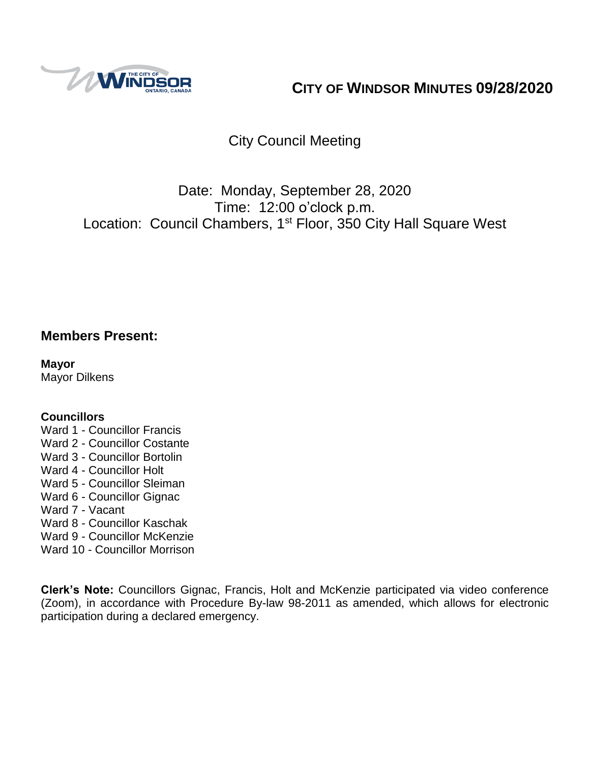

# **CITY OF WINDSOR MINUTES 09/28/2020**

# City Council Meeting

# Date: Monday, September 28, 2020 Time: 12:00 o'clock p.m. Location: Council Chambers, 1<sup>st</sup> Floor, 350 City Hall Square West

## **Members Present:**

**Mayor** Mayor Dilkens

#### **Councillors**

- Ward 1 Councillor Francis
- Ward 2 Councillor Costante
- Ward 3 Councillor Bortolin
- Ward 4 Councillor Holt
- Ward 5 Councillor Sleiman
- Ward 6 Councillor Gignac
- Ward 7 Vacant
- Ward 8 Councillor Kaschak
- Ward 9 Councillor McKenzie
- Ward 10 Councillor Morrison

**Clerk's Note:** Councillors Gignac, Francis, Holt and McKenzie participated via video conference (Zoom), in accordance with Procedure By-law 98-2011 as amended, which allows for electronic participation during a declared emergency.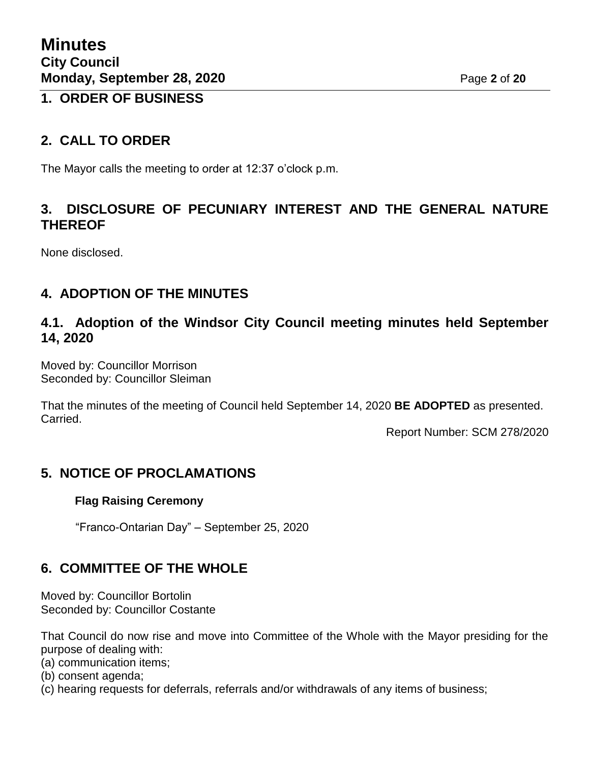### **1. ORDER OF BUSINESS**

## **2. CALL TO ORDER**

The Mayor calls the meeting to order at 12:37 o'clock p.m.

## **3. DISCLOSURE OF PECUNIARY INTEREST AND THE GENERAL NATURE THEREOF**

None disclosed.

## **4. ADOPTION OF THE MINUTES**

### **4.1. Adoption of the Windsor City Council meeting minutes held September 14, 2020**

Moved by: Councillor Morrison Seconded by: Councillor Sleiman

That the minutes of the meeting of Council held September 14, 2020 **BE ADOPTED** as presented. Carried.

Report Number: SCM 278/2020

## **5. NOTICE OF PROCLAMATIONS**

#### **Flag Raising Ceremony**

"Franco-Ontarian Day" – September 25, 2020

## **6. COMMITTEE OF THE WHOLE**

Moved by: Councillor Bortolin Seconded by: Councillor Costante

That Council do now rise and move into Committee of the Whole with the Mayor presiding for the purpose of dealing with:

(a) communication items;

- (b) consent agenda;
- (c) hearing requests for deferrals, referrals and/or withdrawals of any items of business;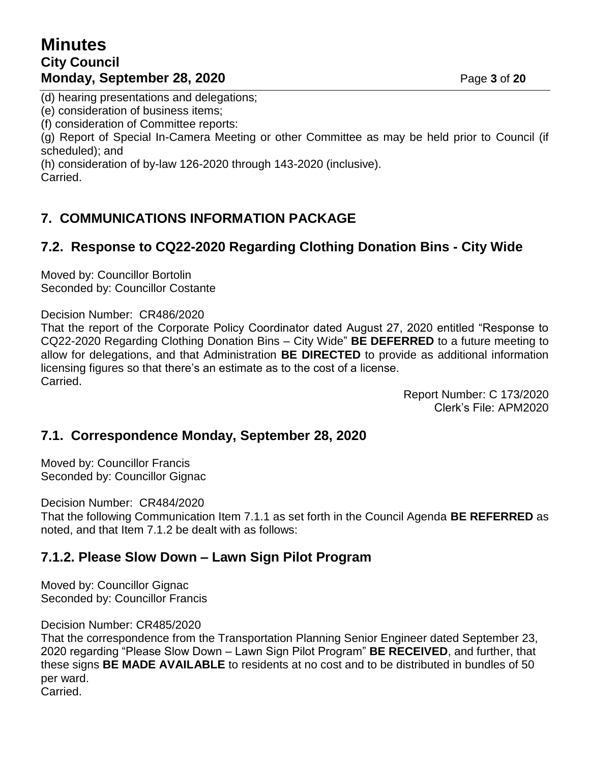# **Minutes City Council Monday, September 28, 2020 Page 3 of 20**

(d) hearing presentations and delegations;

(e) consideration of business items;

(f) consideration of Committee reports:

(g) Report of Special In-Camera Meeting or other Committee as may be held prior to Council (if scheduled); and

(h) consideration of by-law 126-2020 through 143-2020 (inclusive). Carried.

# **7. COMMUNICATIONS INFORMATION PACKAGE**

# **7.2. Response to CQ22-2020 Regarding Clothing Donation Bins - City Wide**

Moved by: Councillor Bortolin Seconded by: Councillor Costante

Decision Number: CR486/2020

That the report of the Corporate Policy Coordinator dated August 27, 2020 entitled "Response to CQ22-2020 Regarding Clothing Donation Bins – City Wide" **BE DEFERRED** to a future meeting to allow for delegations, and that Administration **BE DIRECTED** to provide as additional information licensing figures so that there's an estimate as to the cost of a license. Carried.

> Report Number: C 173/2020 Clerk's File: APM2020

### **7.1. Correspondence Monday, September 28, 2020**

Moved by: Councillor Francis Seconded by: Councillor Gignac

Decision Number: CR484/2020

That the following Communication Item 7.1.1 as set forth in the Council Agenda **BE REFERRED** as noted, and that Item 7.1.2 be dealt with as follows:

### **7.1.2. Please Slow Down – Lawn Sign Pilot Program**

Moved by: Councillor Gignac Seconded by: Councillor Francis

Decision Number: CR485/2020

That the correspondence from the Transportation Planning Senior Engineer dated September 23, 2020 regarding "Please Slow Down – Lawn Sign Pilot Program" **BE RECEIVED**, and further, that these signs **BE MADE AVAILABLE** to residents at no cost and to be distributed in bundles of 50 per ward.

Carried.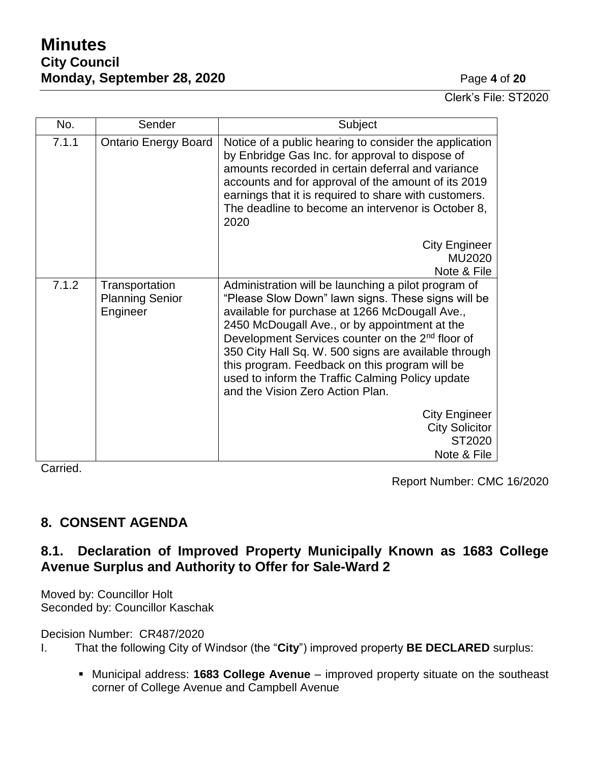# **Minutes City Council Monday, September 28, 2020 Page 4 of 20**

Clerk's File: ST2020

| No.   | Sender                                               | Subject                                                                                                                                                                                                                                                                                                                                                                                                                                                                        |  |
|-------|------------------------------------------------------|--------------------------------------------------------------------------------------------------------------------------------------------------------------------------------------------------------------------------------------------------------------------------------------------------------------------------------------------------------------------------------------------------------------------------------------------------------------------------------|--|
| 7.1.1 | <b>Ontario Energy Board</b>                          | Notice of a public hearing to consider the application<br>by Enbridge Gas Inc. for approval to dispose of<br>amounts recorded in certain deferral and variance<br>accounts and for approval of the amount of its 2019<br>earnings that it is required to share with customers.<br>The deadline to become an intervenor is October 8,<br>2020                                                                                                                                   |  |
|       |                                                      | <b>City Engineer</b><br>MU2020<br>Note & File                                                                                                                                                                                                                                                                                                                                                                                                                                  |  |
| 7.1.2 | Transportation<br><b>Planning Senior</b><br>Engineer | Administration will be launching a pilot program of<br>"Please Slow Down" lawn signs. These signs will be<br>available for purchase at 1266 McDougall Ave.,<br>2450 McDougall Ave., or by appointment at the<br>Development Services counter on the 2 <sup>nd</sup> floor of<br>350 City Hall Sq. W. 500 signs are available through<br>this program. Feedback on this program will be<br>used to inform the Traffic Calming Policy update<br>and the Vision Zero Action Plan. |  |
|       |                                                      | <b>City Engineer</b><br><b>City Solicitor</b><br>ST2020<br>Note & File                                                                                                                                                                                                                                                                                                                                                                                                         |  |

Carried.

Report Number: CMC 16/2020

## **8. CONSENT AGENDA**

# **8.1. Declaration of Improved Property Municipally Known as 1683 College Avenue Surplus and Authority to Offer for Sale-Ward 2**

Moved by: Councillor Holt Seconded by: Councillor Kaschak

Decision Number: CR487/2020

- I. That the following City of Windsor (the "**City**") improved property **BE DECLARED** surplus:
	- Municipal address: **1683 College Avenue** improved property situate on the southeast corner of College Avenue and Campbell Avenue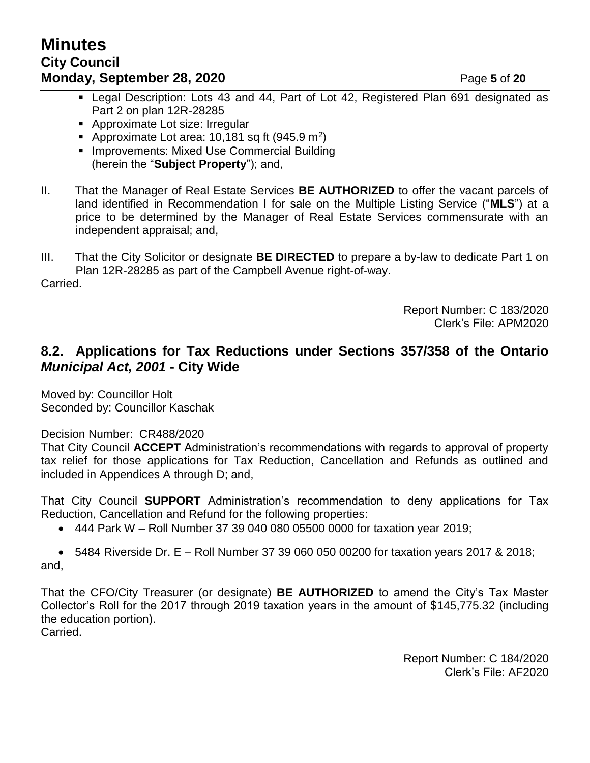- Legal Description: Lots 43 and 44, Part of Lot 42, Registered Plan 691 designated as Part 2 on plan 12R-28285
- **Approximate Lot size: Irregular**
- Approximate Lot area: 10,181 sq ft (945.9 m<sup>2</sup>)
- **Improvements: Mixed Use Commercial Building** (herein the "**Subject Property**"); and,
- II. That the Manager of Real Estate Services **BE AUTHORIZED** to offer the vacant parcels of land identified in Recommendation I for sale on the Multiple Listing Service ("**MLS**") at a price to be determined by the Manager of Real Estate Services commensurate with an independent appraisal; and,
- III. That the City Solicitor or designate **BE DIRECTED** to prepare a by-law to dedicate Part 1 on Plan 12R-28285 as part of the Campbell Avenue right-of-way.

Carried.

Report Number: C 183/2020 Clerk's File: APM2020

## **8.2. Applications for Tax Reductions under Sections 357/358 of the Ontario**  *Municipal Act, 2001* **- City Wide**

Moved by: Councillor Holt Seconded by: Councillor Kaschak

Decision Number: CR488/2020

That City Council **ACCEPT** Administration's recommendations with regards to approval of property tax relief for those applications for Tax Reduction, Cancellation and Refunds as outlined and included in Appendices A through D; and,

That City Council **SUPPORT** Administration's recommendation to deny applications for Tax Reduction, Cancellation and Refund for the following properties:

444 Park W – Roll Number 37 39 040 080 05500 0000 for taxation year 2019;

 $\bullet$  5484 Riverside Dr. E – Roll Number 37 39 060 050 00200 for taxation years 2017 & 2018; and,

That the CFO/City Treasurer (or designate) **BE AUTHORIZED** to amend the City's Tax Master Collector's Roll for the 2017 through 2019 taxation years in the amount of \$145,775.32 (including the education portion). Carried.

> Report Number: C 184/2020 Clerk's File: AF2020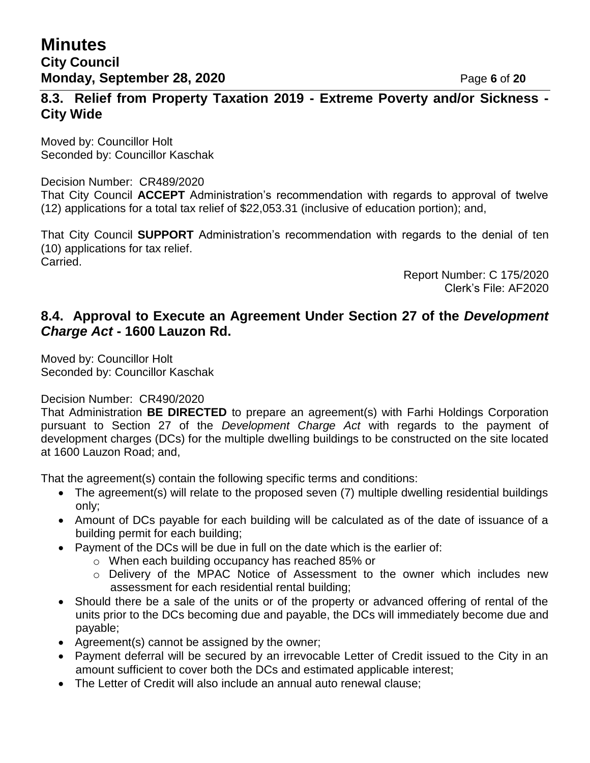# **Minutes City Council Monday, September 28, 2020 Page 6** of 20

**8.3. Relief from Property Taxation 2019 - Extreme Poverty and/or Sickness - City Wide**

Moved by: Councillor Holt Seconded by: Councillor Kaschak

#### Decision Number: CR489/2020

That City Council **ACCEPT** Administration's recommendation with regards to approval of twelve (12) applications for a total tax relief of \$22,053.31 (inclusive of education portion); and,

That City Council **SUPPORT** Administration's recommendation with regards to the denial of ten (10) applications for tax relief. Carried.

> Report Number: C 175/2020 Clerk's File: AF2020

### **8.4. Approval to Execute an Agreement Under Section 27 of the** *Development Charge Act* **- 1600 Lauzon Rd.**

Moved by: Councillor Holt Seconded by: Councillor Kaschak

Decision Number: CR490/2020

That Administration **BE DIRECTED** to prepare an agreement(s) with Farhi Holdings Corporation pursuant to Section 27 of the *Development Charge Act* with regards to the payment of development charges (DCs) for the multiple dwelling buildings to be constructed on the site located at 1600 Lauzon Road; and,

That the agreement(s) contain the following specific terms and conditions:

- The agreement(s) will relate to the proposed seven (7) multiple dwelling residential buildings only;
- Amount of DCs payable for each building will be calculated as of the date of issuance of a building permit for each building;
- Payment of the DCs will be due in full on the date which is the earlier of:
	- o When each building occupancy has reached 85% or
	- o Delivery of the MPAC Notice of Assessment to the owner which includes new assessment for each residential rental building;
- Should there be a sale of the units or of the property or advanced offering of rental of the units prior to the DCs becoming due and payable, the DCs will immediately become due and payable;
- Agreement(s) cannot be assigned by the owner;
- Payment deferral will be secured by an irrevocable Letter of Credit issued to the City in an amount sufficient to cover both the DCs and estimated applicable interest;
- The Letter of Credit will also include an annual auto renewal clause;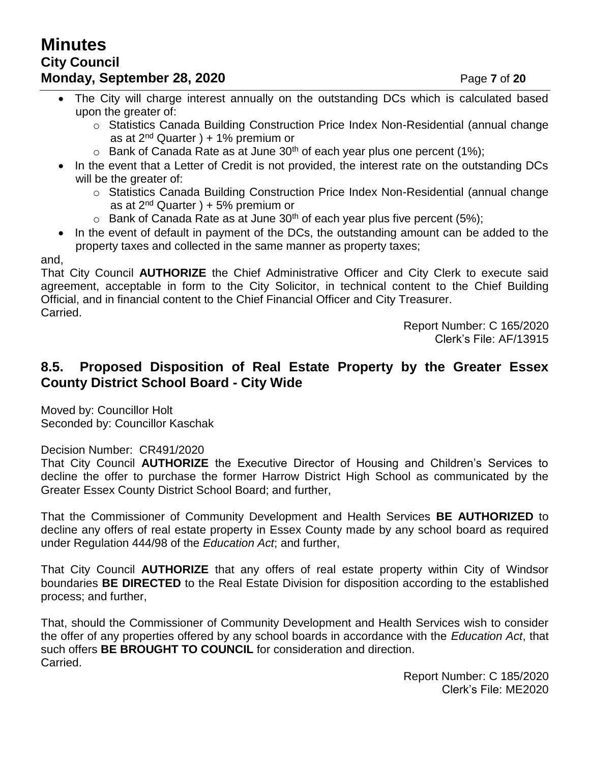# **Minutes City Council Monday, September 28, 2020** Page 7 of 20

- The City will charge interest annually on the outstanding DCs which is calculated based upon the greater of:
	- $\circ$  Statistics Canada Building Construction Price Index Non-Residential (annual change as at  $2<sup>nd</sup>$  Quarter ) + 1% premium or
	- $\circ$  Bank of Canada Rate as at June 30<sup>th</sup> of each year plus one percent (1%);
- In the event that a Letter of Credit is not provided, the interest rate on the outstanding DCs will be the greater of:
	- o Statistics Canada Building Construction Price Index Non-Residential (annual change as at  $2^{nd}$  Quarter  $) + 5%$  premium or
	- $\circ$  Bank of Canada Rate as at June 30<sup>th</sup> of each year plus five percent (5%);
- In the event of default in payment of the DCs, the outstanding amount can be added to the property taxes and collected in the same manner as property taxes;

and,

That City Council **AUTHORIZE** the Chief Administrative Officer and City Clerk to execute said agreement, acceptable in form to the City Solicitor, in technical content to the Chief Building Official, and in financial content to the Chief Financial Officer and City Treasurer. Carried.

> Report Number: C 165/2020 Clerk's File: AF/13915

# **8.5. Proposed Disposition of Real Estate Property by the Greater Essex County District School Board - City Wide**

Moved by: Councillor Holt Seconded by: Councillor Kaschak

### Decision Number: CR491/2020

That City Council **AUTHORIZE** the Executive Director of Housing and Children's Services to decline the offer to purchase the former Harrow District High School as communicated by the Greater Essex County District School Board; and further,

That the Commissioner of Community Development and Health Services **BE AUTHORIZED** to decline any offers of real estate property in Essex County made by any school board as required under Regulation 444/98 of the *Education Act*; and further,

That City Council **AUTHORIZE** that any offers of real estate property within City of Windsor boundaries **BE DIRECTED** to the Real Estate Division for disposition according to the established process; and further,

That, should the Commissioner of Community Development and Health Services wish to consider the offer of any properties offered by any school boards in accordance with the *Education Act*, that such offers **BE BROUGHT TO COUNCIL** for consideration and direction. Carried.

> Report Number: C 185/2020 Clerk's File: ME2020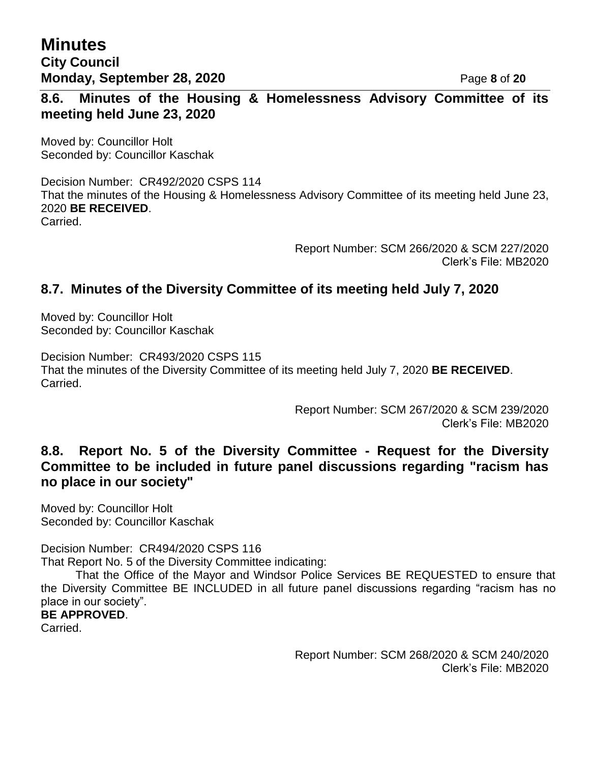**Minutes City Council Monday, September 28, 2020 Page 8** of 20

**8.6. Minutes of the Housing & Homelessness Advisory Committee of its meeting held June 23, 2020**

Moved by: Councillor Holt Seconded by: Councillor Kaschak

Decision Number: CR492/2020 CSPS 114 That the minutes of the Housing & Homelessness Advisory Committee of its meeting held June 23, 2020 **BE RECEIVED**. Carried.

> Report Number: SCM 266/2020 & SCM 227/2020 Clerk's File: MB2020

## **8.7. Minutes of the Diversity Committee of its meeting held July 7, 2020**

Moved by: Councillor Holt Seconded by: Councillor Kaschak

Decision Number: CR493/2020 CSPS 115 That the minutes of the Diversity Committee of its meeting held July 7, 2020 **BE RECEIVED**. Carried.

> Report Number: SCM 267/2020 & SCM 239/2020 Clerk's File: MB2020

### **8.8. Report No. 5 of the Diversity Committee - Request for the Diversity Committee to be included in future panel discussions regarding "racism has no place in our society"**

Moved by: Councillor Holt Seconded by: Councillor Kaschak

Decision Number: CR494/2020 CSPS 116

That Report No. 5 of the Diversity Committee indicating:

That the Office of the Mayor and Windsor Police Services BE REQUESTED to ensure that the Diversity Committee BE INCLUDED in all future panel discussions regarding "racism has no place in our society".

### **BE APPROVED**.

Carried.

Report Number: SCM 268/2020 & SCM 240/2020 Clerk's File: MB2020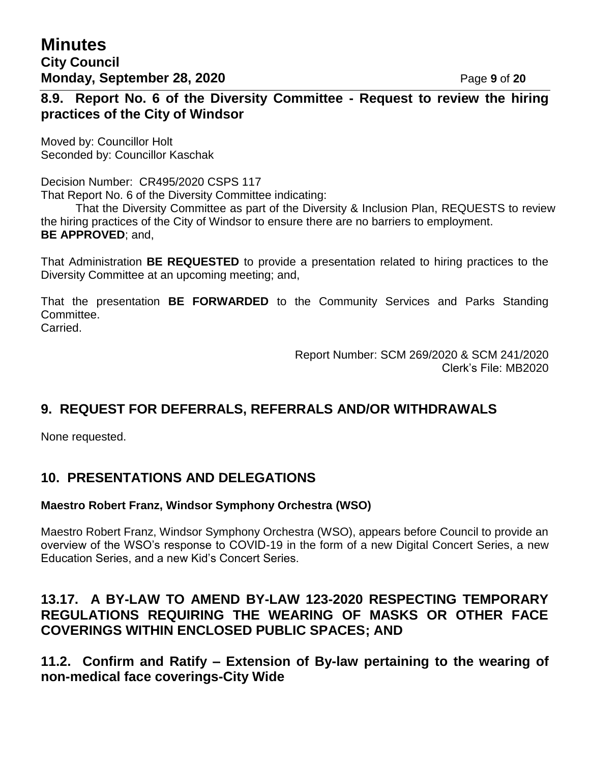## **8.9. Report No. 6 of the Diversity Committee - Request to review the hiring practices of the City of Windsor**

Moved by: Councillor Holt Seconded by: Councillor Kaschak

Decision Number: CR495/2020 CSPS 117 That Report No. 6 of the Diversity Committee indicating:

That the Diversity Committee as part of the Diversity & Inclusion Plan, REQUESTS to review the hiring practices of the City of Windsor to ensure there are no barriers to employment. **BE APPROVED**; and,

That Administration **BE REQUESTED** to provide a presentation related to hiring practices to the Diversity Committee at an upcoming meeting; and,

That the presentation **BE FORWARDED** to the Community Services and Parks Standing Committee. Carried.

> Report Number: SCM 269/2020 & SCM 241/2020 Clerk's File: MB2020

# **9. REQUEST FOR DEFERRALS, REFERRALS AND/OR WITHDRAWALS**

None requested.

# **10. PRESENTATIONS AND DELEGATIONS**

### **Maestro Robert Franz, Windsor Symphony Orchestra (WSO)**

Maestro Robert Franz, Windsor Symphony Orchestra (WSO), appears before Council to provide an overview of the WSO's response to COVID-19 in the form of a new Digital Concert Series, a new Education Series, and a new Kid's Concert Series.

## **13.17. A BY-LAW TO AMEND BY-LAW 123-2020 RESPECTING TEMPORARY REGULATIONS REQUIRING THE WEARING OF MASKS OR OTHER FACE COVERINGS WITHIN ENCLOSED PUBLIC SPACES; AND**

**11.2. Confirm and Ratify – Extension of By-law pertaining to the wearing of non-medical face coverings-City Wide**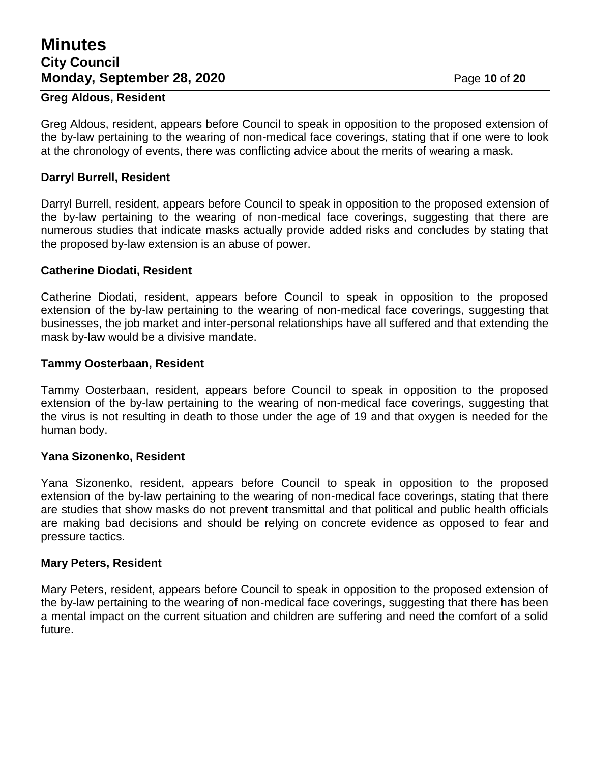# **Minutes City Council Monday, September 28, 2020 Page 10 of 20**

#### **Greg Aldous, Resident**

Greg Aldous, resident, appears before Council to speak in opposition to the proposed extension of the by-law pertaining to the wearing of non-medical face coverings, stating that if one were to look at the chronology of events, there was conflicting advice about the merits of wearing a mask.

#### **Darryl Burrell, Resident**

Darryl Burrell, resident, appears before Council to speak in opposition to the proposed extension of the by-law pertaining to the wearing of non-medical face coverings, suggesting that there are numerous studies that indicate masks actually provide added risks and concludes by stating that the proposed by-law extension is an abuse of power.

#### **Catherine Diodati, Resident**

Catherine Diodati, resident, appears before Council to speak in opposition to the proposed extension of the by-law pertaining to the wearing of non-medical face coverings, suggesting that businesses, the job market and inter-personal relationships have all suffered and that extending the mask by-law would be a divisive mandate.

#### **Tammy Oosterbaan, Resident**

Tammy Oosterbaan, resident, appears before Council to speak in opposition to the proposed extension of the by-law pertaining to the wearing of non-medical face coverings, suggesting that the virus is not resulting in death to those under the age of 19 and that oxygen is needed for the human body.

#### **Yana Sizonenko, Resident**

Yana Sizonenko, resident, appears before Council to speak in opposition to the proposed extension of the by-law pertaining to the wearing of non-medical face coverings, stating that there are studies that show masks do not prevent transmittal and that political and public health officials are making bad decisions and should be relying on concrete evidence as opposed to fear and pressure tactics.

#### **Mary Peters, Resident**

Mary Peters, resident, appears before Council to speak in opposition to the proposed extension of the by-law pertaining to the wearing of non-medical face coverings, suggesting that there has been a mental impact on the current situation and children are suffering and need the comfort of a solid future.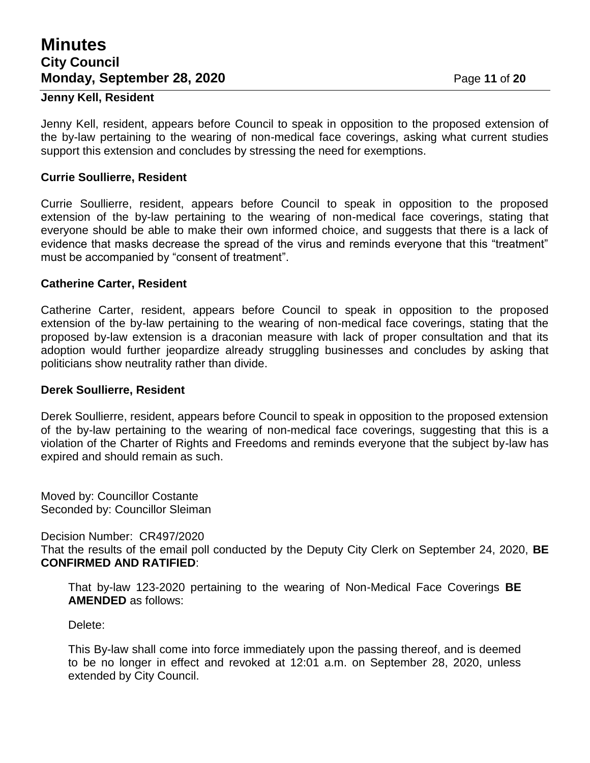# **Minutes City Council Monday, September 28, 2020** Page 11 of 20

#### **Jenny Kell, Resident**

Jenny Kell, resident, appears before Council to speak in opposition to the proposed extension of the by-law pertaining to the wearing of non-medical face coverings, asking what current studies support this extension and concludes by stressing the need for exemptions.

#### **Currie Soullierre, Resident**

Currie Soullierre, resident, appears before Council to speak in opposition to the proposed extension of the by-law pertaining to the wearing of non-medical face coverings, stating that everyone should be able to make their own informed choice, and suggests that there is a lack of evidence that masks decrease the spread of the virus and reminds everyone that this "treatment" must be accompanied by "consent of treatment".

#### **Catherine Carter, Resident**

Catherine Carter, resident, appears before Council to speak in opposition to the proposed extension of the by-law pertaining to the wearing of non-medical face coverings, stating that the proposed by-law extension is a draconian measure with lack of proper consultation and that its adoption would further jeopardize already struggling businesses and concludes by asking that politicians show neutrality rather than divide.

#### **Derek Soullierre, Resident**

Derek Soullierre, resident, appears before Council to speak in opposition to the proposed extension of the by-law pertaining to the wearing of non-medical face coverings, suggesting that this is a violation of the Charter of Rights and Freedoms and reminds everyone that the subject by-law has expired and should remain as such.

Moved by: Councillor Costante Seconded by: Councillor Sleiman

Decision Number: CR497/2020 That the results of the email poll conducted by the Deputy City Clerk on September 24, 2020, **BE CONFIRMED AND RATIFIED**:

That by-law 123-2020 pertaining to the wearing of Non-Medical Face Coverings **BE AMENDED** as follows:

Delete:

This By-law shall come into force immediately upon the passing thereof, and is deemed to be no longer in effect and revoked at 12:01 a.m. on September 28, 2020, unless extended by City Council.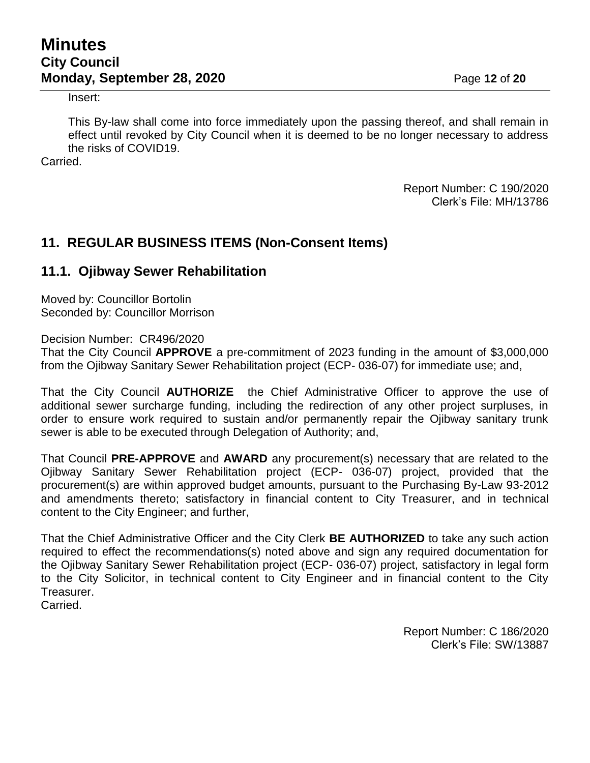# **Minutes City Council Monday, September 28, 2020 Page 12 of 20**

#### Insert:

This By-law shall come into force immediately upon the passing thereof, and shall remain in effect until revoked by City Council when it is deemed to be no longer necessary to address the risks of COVID19.

Carried.

Report Number: C 190/2020 Clerk's File: MH/13786

## **11. REGULAR BUSINESS ITEMS (Non-Consent Items)**

### **11.1. Ojibway Sewer Rehabilitation**

Moved by: Councillor Bortolin Seconded by: Councillor Morrison

Decision Number: CR496/2020

That the City Council **APPROVE** a pre-commitment of 2023 funding in the amount of \$3,000,000 from the Ojibway Sanitary Sewer Rehabilitation project (ECP- 036-07) for immediate use; and,

That the City Council **AUTHORIZE** the Chief Administrative Officer to approve the use of additional sewer surcharge funding, including the redirection of any other project surpluses, in order to ensure work required to sustain and/or permanently repair the Ojibway sanitary trunk sewer is able to be executed through Delegation of Authority; and,

That Council **PRE-APPROVE** and **AWARD** any procurement(s) necessary that are related to the Ojibway Sanitary Sewer Rehabilitation project (ECP- 036-07) project, provided that the procurement(s) are within approved budget amounts, pursuant to the Purchasing By-Law 93-2012 and amendments thereto; satisfactory in financial content to City Treasurer, and in technical content to the City Engineer; and further,

That the Chief Administrative Officer and the City Clerk **BE AUTHORIZED** to take any such action required to effect the recommendations(s) noted above and sign any required documentation for the Ojibway Sanitary Sewer Rehabilitation project (ECP- 036-07) project, satisfactory in legal form to the City Solicitor, in technical content to City Engineer and in financial content to the City Treasurer.

Carried.

Report Number: C 186/2020 Clerk's File: SW/13887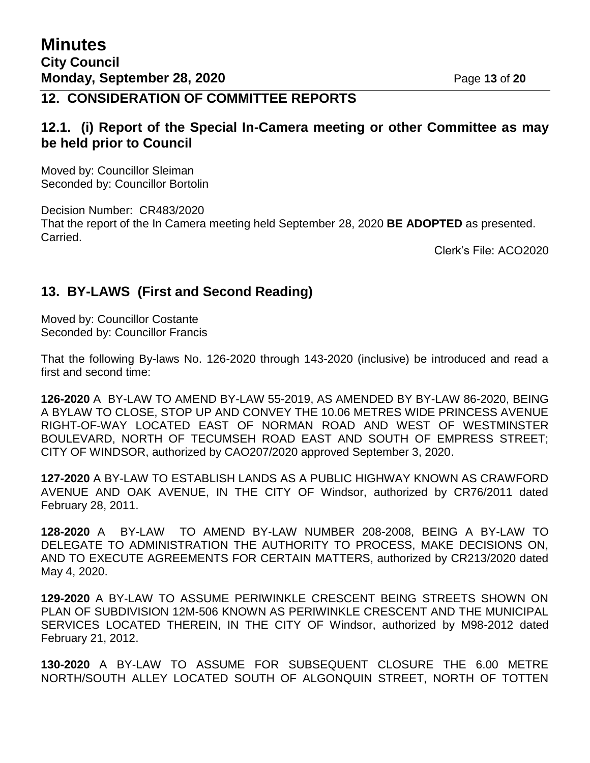### **12. CONSIDERATION OF COMMITTEE REPORTS**

### **12.1. (i) Report of the Special In-Camera meeting or other Committee as may be held prior to Council**

Moved by: Councillor Sleiman Seconded by: Councillor Bortolin

Decision Number: CR483/2020 That the report of the In Camera meeting held September 28, 2020 **BE ADOPTED** as presented. Carried.

Clerk's File: ACO2020

### **13. BY-LAWS (First and Second Reading)**

Moved by: Councillor Costante Seconded by: Councillor Francis

That the following By-laws No. 126-2020 through 143-2020 (inclusive) be introduced and read a first and second time:

**126-2020** A BY-LAW TO AMEND BY-LAW 55-2019, AS AMENDED BY BY-LAW 86-2020, BEING A BYLAW TO CLOSE, STOP UP AND CONVEY THE 10.06 METRES WIDE PRINCESS AVENUE RIGHT-OF-WAY LOCATED EAST OF NORMAN ROAD AND WEST OF WESTMINSTER BOULEVARD, NORTH OF TECUMSEH ROAD EAST AND SOUTH OF EMPRESS STREET; CITY OF WINDSOR, authorized by CAO207/2020 approved September 3, 2020.

**127-2020** A BY-LAW TO ESTABLISH LANDS AS A PUBLIC HIGHWAY KNOWN AS CRAWFORD AVENUE AND OAK AVENUE, IN THE CITY OF Windsor, authorized by CR76/2011 dated February 28, 2011.

**128-2020** A BY-LAW TO AMEND BY-LAW NUMBER 208-2008, BEING A BY-LAW TO DELEGATE TO ADMINISTRATION THE AUTHORITY TO PROCESS, MAKE DECISIONS ON, AND TO EXECUTE AGREEMENTS FOR CERTAIN MATTERS, authorized by CR213/2020 dated May 4, 2020.

**129-2020** A BY-LAW TO ASSUME PERIWINKLE CRESCENT BEING STREETS SHOWN ON PLAN OF SUBDIVISION 12M-506 KNOWN AS PERIWINKLE CRESCENT AND THE MUNICIPAL SERVICES LOCATED THEREIN, IN THE CITY OF Windsor, authorized by M98-2012 dated February 21, 2012.

**130-2020** A BY-LAW TO ASSUME FOR SUBSEQUENT CLOSURE THE 6.00 METRE NORTH/SOUTH ALLEY LOCATED SOUTH OF ALGONQUIN STREET, NORTH OF TOTTEN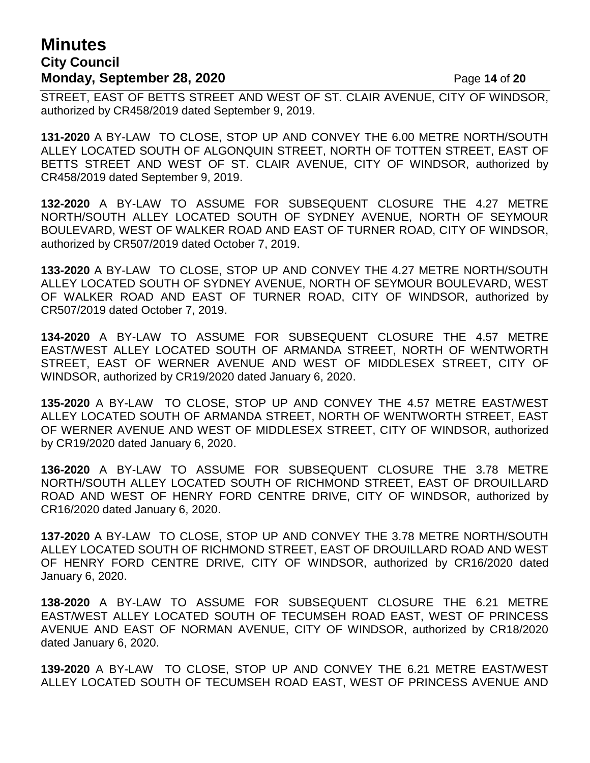# **Minutes City Council Monday, September 28, 2020** Page 14 of 20

STREET, EAST OF BETTS STREET AND WEST OF ST. CLAIR AVENUE, CITY OF WINDSOR, authorized by CR458/2019 dated September 9, 2019.

**131-2020** A BY-LAW TO CLOSE, STOP UP AND CONVEY THE 6.00 METRE NORTH/SOUTH ALLEY LOCATED SOUTH OF ALGONQUIN STREET, NORTH OF TOTTEN STREET, EAST OF BETTS STREET AND WEST OF ST. CLAIR AVENUE, CITY OF WINDSOR, authorized by CR458/2019 dated September 9, 2019.

**132-2020** A BY-LAW TO ASSUME FOR SUBSEQUENT CLOSURE THE 4.27 METRE NORTH/SOUTH ALLEY LOCATED SOUTH OF SYDNEY AVENUE, NORTH OF SEYMOUR BOULEVARD, WEST OF WALKER ROAD AND EAST OF TURNER ROAD, CITY OF WINDSOR, authorized by CR507/2019 dated October 7, 2019.

**133-2020** A BY-LAW TO CLOSE, STOP UP AND CONVEY THE 4.27 METRE NORTH/SOUTH ALLEY LOCATED SOUTH OF SYDNEY AVENUE, NORTH OF SEYMOUR BOULEVARD, WEST OF WALKER ROAD AND EAST OF TURNER ROAD, CITY OF WINDSOR, authorized by CR507/2019 dated October 7, 2019.

**134-2020** A BY-LAW TO ASSUME FOR SUBSEQUENT CLOSURE THE 4.57 METRE EAST/WEST ALLEY LOCATED SOUTH OF ARMANDA STREET, NORTH OF WENTWORTH STREET, EAST OF WERNER AVENUE AND WEST OF MIDDLESEX STREET, CITY OF WINDSOR, authorized by CR19/2020 dated January 6, 2020.

**135-2020** A BY-LAW TO CLOSE, STOP UP AND CONVEY THE 4.57 METRE EAST/WEST ALLEY LOCATED SOUTH OF ARMANDA STREET, NORTH OF WENTWORTH STREET, EAST OF WERNER AVENUE AND WEST OF MIDDLESEX STREET, CITY OF WINDSOR, authorized by CR19/2020 dated January 6, 2020.

**136-2020** A BY-LAW TO ASSUME FOR SUBSEQUENT CLOSURE THE 3.78 METRE NORTH/SOUTH ALLEY LOCATED SOUTH OF RICHMOND STREET, EAST OF DROUILLARD ROAD AND WEST OF HENRY FORD CENTRE DRIVE, CITY OF WINDSOR, authorized by CR16/2020 dated January 6, 2020.

**137-2020** A BY-LAW TO CLOSE, STOP UP AND CONVEY THE 3.78 METRE NORTH/SOUTH ALLEY LOCATED SOUTH OF RICHMOND STREET, EAST OF DROUILLARD ROAD AND WEST OF HENRY FORD CENTRE DRIVE, CITY OF WINDSOR, authorized by CR16/2020 dated January 6, 2020.

**138-2020** A BY-LAW TO ASSUME FOR SUBSEQUENT CLOSURE THE 6.21 METRE EAST/WEST ALLEY LOCATED SOUTH OF TECUMSEH ROAD EAST, WEST OF PRINCESS AVENUE AND EAST OF NORMAN AVENUE, CITY OF WINDSOR, authorized by CR18/2020 dated January 6, 2020.

**139-2020** A BY-LAW TO CLOSE, STOP UP AND CONVEY THE 6.21 METRE EAST/WEST ALLEY LOCATED SOUTH OF TECUMSEH ROAD EAST, WEST OF PRINCESS AVENUE AND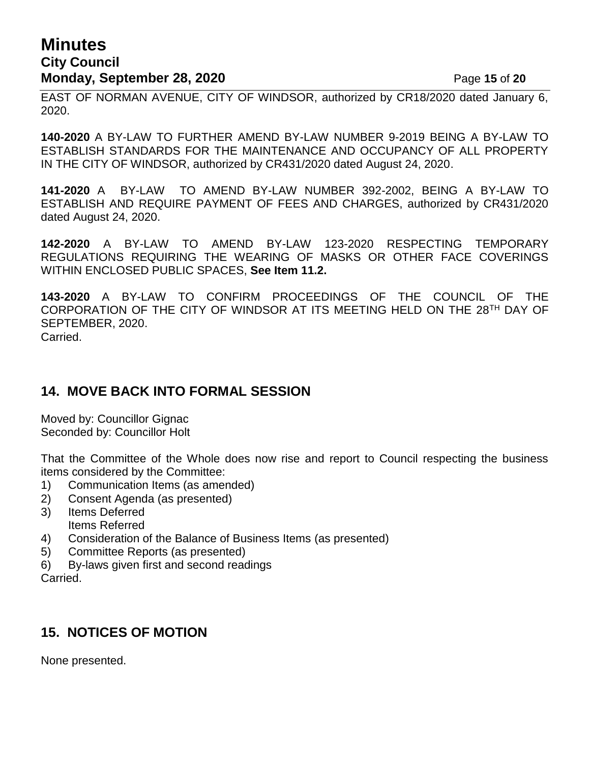# **Minutes City Council Monday, September 28, 2020 Page 15 of 20**

EAST OF NORMAN AVENUE, CITY OF WINDSOR, authorized by CR18/2020 dated January 6, 2020.

**140-2020** A BY-LAW TO FURTHER AMEND BY-LAW NUMBER 9-2019 BEING A BY-LAW TO ESTABLISH STANDARDS FOR THE MAINTENANCE AND OCCUPANCY OF ALL PROPERTY IN THE CITY OF WINDSOR, authorized by CR431/2020 dated August 24, 2020.

**141-2020** A BY-LAW TO AMEND BY-LAW NUMBER 392-2002, BEING A BY-LAW TO ESTABLISH AND REQUIRE PAYMENT OF FEES AND CHARGES, authorized by CR431/2020 dated August 24, 2020.

**142-2020** A BY-LAW TO AMEND BY-LAW 123-2020 RESPECTING TEMPORARY REGULATIONS REQUIRING THE WEARING OF MASKS OR OTHER FACE COVERINGS WITHIN ENCLOSED PUBLIC SPACES, **See Item 11.2.**

**143-2020** A BY-LAW TO CONFIRM PROCEEDINGS OF THE COUNCIL OF THE CORPORATION OF THE CITY OF WINDSOR AT ITS MEETING HELD ON THE 28TH DAY OF SEPTEMBER, 2020. Carried.

## **14. MOVE BACK INTO FORMAL SESSION**

Moved by: Councillor Gignac Seconded by: Councillor Holt

That the Committee of the Whole does now rise and report to Council respecting the business items considered by the Committee:

- 1) Communication Items (as amended)
- 2) Consent Agenda (as presented)
- 3) Items Deferred Items Referred
- 4) Consideration of the Balance of Business Items (as presented)
- 5) Committee Reports (as presented)
- 6) By-laws given first and second readings

Carried.

# **15. NOTICES OF MOTION**

None presented.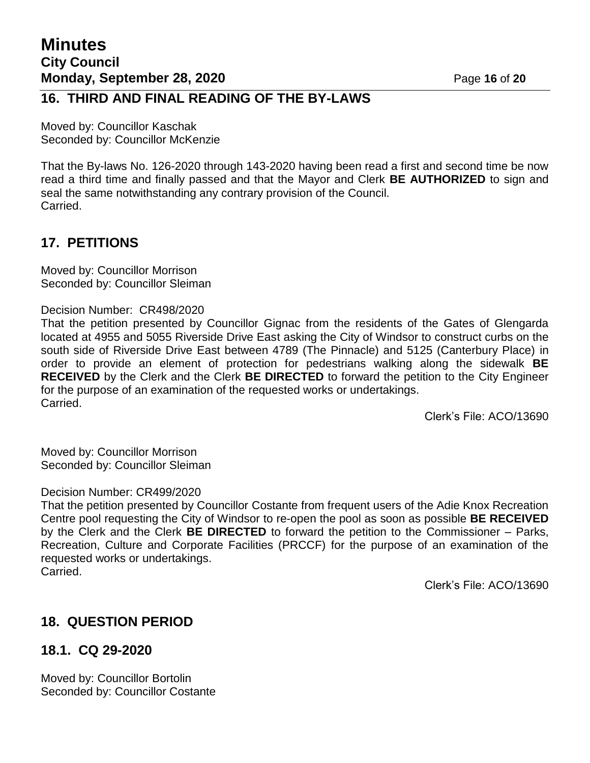### **16. THIRD AND FINAL READING OF THE BY-LAWS**

Moved by: Councillor Kaschak Seconded by: Councillor McKenzie

That the By-laws No. 126-2020 through 143-2020 having been read a first and second time be now read a third time and finally passed and that the Mayor and Clerk **BE AUTHORIZED** to sign and seal the same notwithstanding any contrary provision of the Council. Carried.

# **17. PETITIONS**

Moved by: Councillor Morrison Seconded by: Councillor Sleiman

#### Decision Number: CR498/2020

That the petition presented by Councillor Gignac from the residents of the Gates of Glengarda located at 4955 and 5055 Riverside Drive East asking the City of Windsor to construct curbs on the south side of Riverside Drive East between 4789 (The Pinnacle) and 5125 (Canterbury Place) in order to provide an element of protection for pedestrians walking along the sidewalk **BE RECEIVED** by the Clerk and the Clerk **BE DIRECTED** to forward the petition to the City Engineer for the purpose of an examination of the requested works or undertakings. Carried.

Clerk's File: ACO/13690

Moved by: Councillor Morrison Seconded by: Councillor Sleiman

#### Decision Number: CR499/2020

That the petition presented by Councillor Costante from frequent users of the Adie Knox Recreation Centre pool requesting the City of Windsor to re-open the pool as soon as possible **BE RECEIVED** by the Clerk and the Clerk **BE DIRECTED** to forward the petition to the Commissioner – Parks, Recreation, Culture and Corporate Facilities (PRCCF) for the purpose of an examination of the requested works or undertakings. Carried.

Clerk's File: ACO/13690

# **18. QUESTION PERIOD**

## **18.1. CQ 29-2020**

Moved by: Councillor Bortolin Seconded by: Councillor Costante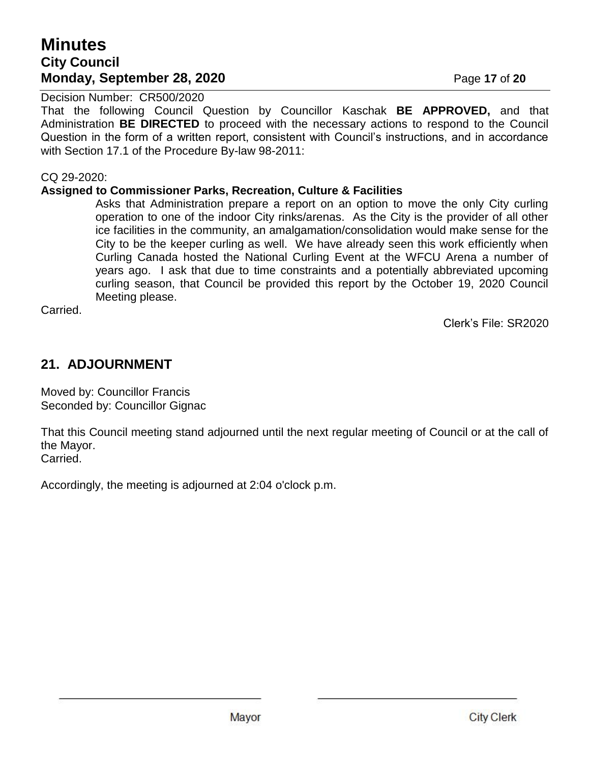# **Minutes City Council Monday, September 28, 2020** Page 17 of 20

Decision Number: CR500/2020

That the following Council Question by Councillor Kaschak **BE APPROVED,** and that Administration **BE DIRECTED** to proceed with the necessary actions to respond to the Council Question in the form of a written report, consistent with Council's instructions, and in accordance with Section 17.1 of the Procedure By-law 98-2011:

#### CQ 29-2020:

#### **Assigned to Commissioner Parks, Recreation, Culture & Facilities**

Asks that Administration prepare a report on an option to move the only City curling operation to one of the indoor City rinks/arenas. As the City is the provider of all other ice facilities in the community, an amalgamation/consolidation would make sense for the City to be the keeper curling as well. We have already seen this work efficiently when Curling Canada hosted the National Curling Event at the WFCU Arena a number of years ago. I ask that due to time constraints and a potentially abbreviated upcoming curling season, that Council be provided this report by the October 19, 2020 Council Meeting please.

Carried.

Clerk's File: SR2020

# **21. ADJOURNMENT**

Moved by: Councillor Francis Seconded by: Councillor Gignac

That this Council meeting stand adjourned until the next regular meeting of Council or at the call of the Mayor. Carried.

Accordingly, the meeting is adjourned at 2:04 o'clock p.m.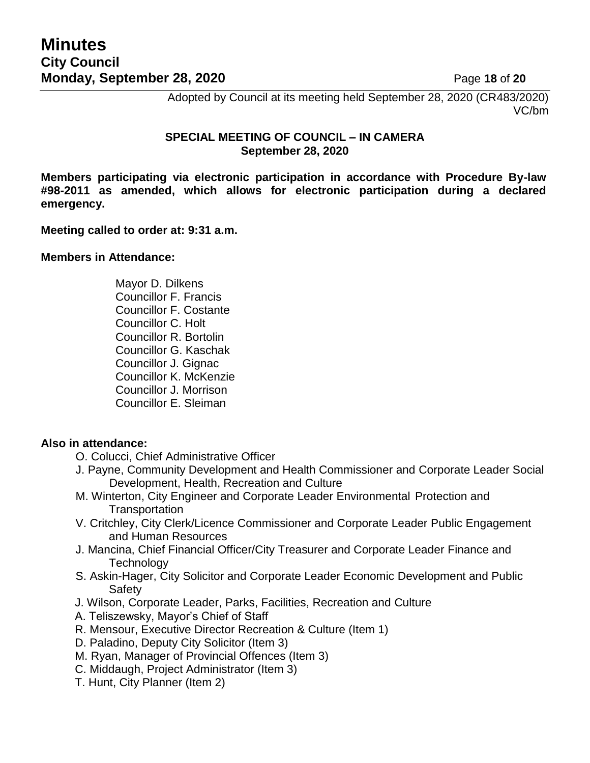Adopted by Council at its meeting held September 28, 2020 (CR483/2020) VC/bm

#### **SPECIAL MEETING OF COUNCIL – IN CAMERA September 28, 2020**

**Members participating via electronic participation in accordance with Procedure By-law #98-2011 as amended, which allows for electronic participation during a declared emergency.**

#### **Meeting called to order at: 9:31 a.m.**

#### **Members in Attendance:**

Mayor D. Dilkens Councillor F. Francis Councillor F. Costante Councillor C. Holt Councillor R. Bortolin Councillor G. Kaschak Councillor J. Gignac Councillor K. McKenzie Councillor J. Morrison Councillor E. Sleiman

#### **Also in attendance:**

- O. Colucci, Chief Administrative Officer
- J. Payne, Community Development and Health Commissioner and Corporate Leader Social Development, Health, Recreation and Culture
- M. Winterton, City Engineer and Corporate Leader Environmental Protection and **Transportation**
- V. Critchley, City Clerk/Licence Commissioner and Corporate Leader Public Engagement and Human Resources
- J. Mancina, Chief Financial Officer/City Treasurer and Corporate Leader Finance and **Technology**
- S. Askin-Hager, City Solicitor and Corporate Leader Economic Development and Public **Safety**
- J. Wilson, Corporate Leader, Parks, Facilities, Recreation and Culture
- A. Teliszewsky, Mayor's Chief of Staff
- R. Mensour, Executive Director Recreation & Culture (Item 1)
- D. Paladino, Deputy City Solicitor (Item 3)
- M. Ryan, Manager of Provincial Offences (Item 3)
- C. Middaugh, Project Administrator (Item 3)
- T. Hunt, City Planner (Item 2)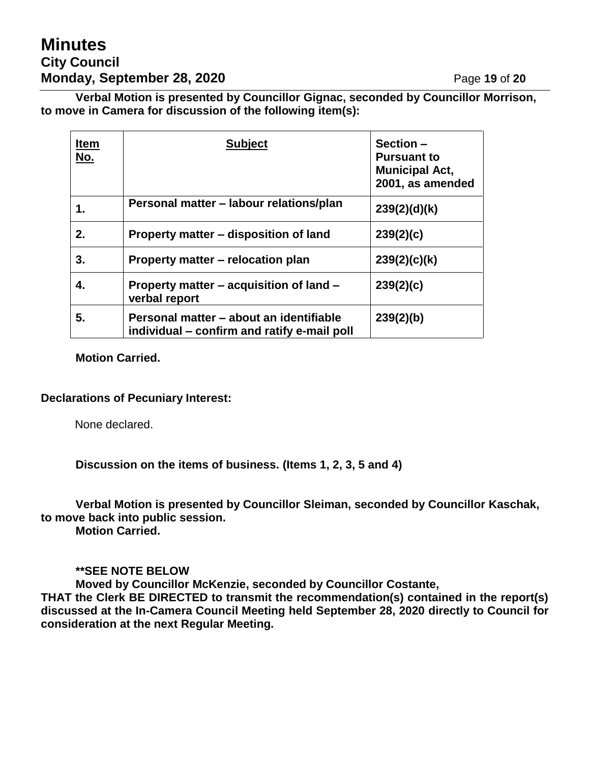# **Minutes City Council Monday, September 28, 2020 Page 19 of 20**

**Verbal Motion is presented by Councillor Gignac, seconded by Councillor Morrison, to move in Camera for discussion of the following item(s):**

| <b>Item</b><br>No. | <b>Subject</b>                                                                         | Section -<br><b>Pursuant to</b><br><b>Municipal Act,</b><br>2001, as amended |
|--------------------|----------------------------------------------------------------------------------------|------------------------------------------------------------------------------|
| 1.                 | Personal matter - labour relations/plan                                                | 239(2)(d)(k)                                                                 |
| 2.                 | Property matter – disposition of land                                                  | 239(2)(c)                                                                    |
| 3.                 | Property matter – relocation plan                                                      | 239(2)(c)(k)                                                                 |
| 4.                 | Property matter - acquisition of land -<br>verbal report                               | 239(2)(c)                                                                    |
| 5.                 | Personal matter – about an identifiable<br>individual – confirm and ratify e-mail poll | 239(2)(b)                                                                    |

#### **Motion Carried.**

#### **Declarations of Pecuniary Interest:**

None declared.

**Discussion on the items of business. (Items 1, 2, 3, 5 and 4)**

**Verbal Motion is presented by Councillor Sleiman, seconded by Councillor Kaschak, to move back into public session.**

**Motion Carried.**

#### **\*\*SEE NOTE BELOW**

**Moved by Councillor McKenzie, seconded by Councillor Costante,**

**THAT the Clerk BE DIRECTED to transmit the recommendation(s) contained in the report(s) discussed at the In-Camera Council Meeting held September 28, 2020 directly to Council for consideration at the next Regular Meeting.**